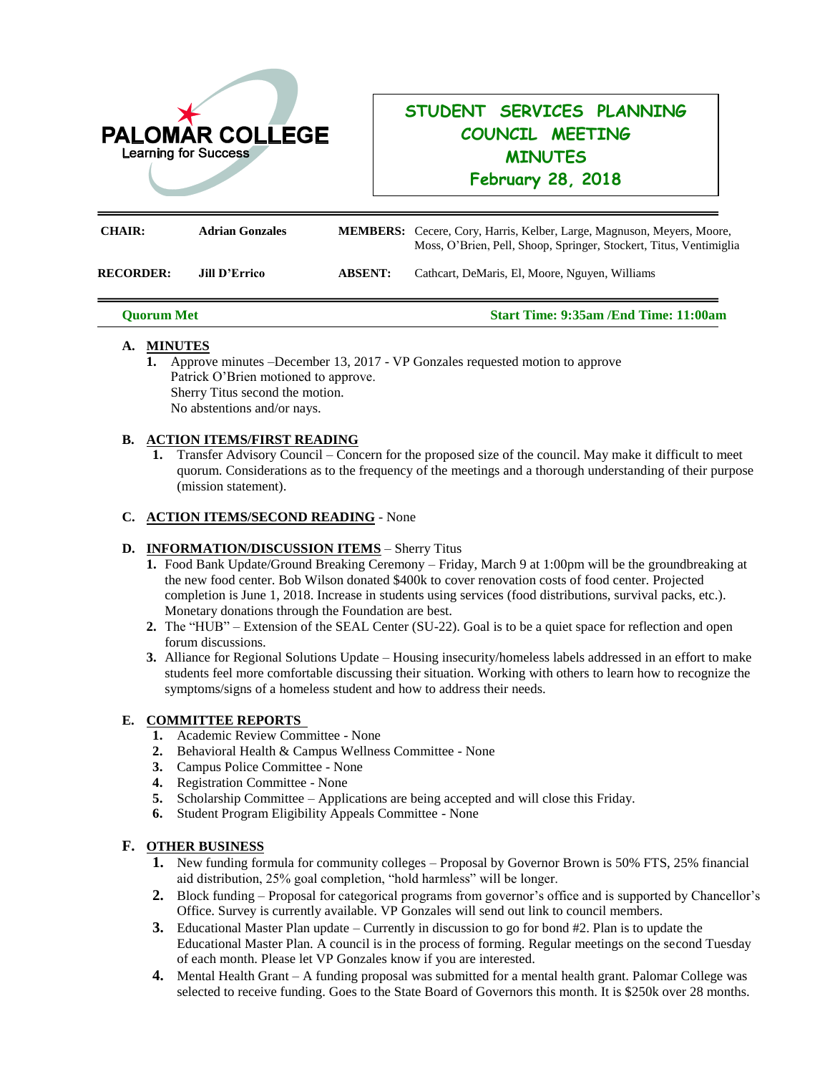

# **STUDENT SERVICES PLANNING COUNCIL MEETING MINUTES February 28, 2018**

| <b>CHAIR:</b>    | <b>Adrian Gonzales</b> |                | <b>MEMBERS:</b> Cecere, Cory, Harris, Kelber, Large, Magnuson, Meyers, Moore,<br>Moss, O'Brien, Pell, Shoop, Springer, Stockert, Titus, Ventimiglia |
|------------------|------------------------|----------------|-----------------------------------------------------------------------------------------------------------------------------------------------------|
| <b>RECORDER:</b> | <b>Jill D'Errico</b>   | <b>ABSENT:</b> | Cathcart, DeMaris, El, Moore, Nguyen, Williams                                                                                                      |

**Quorum Met Start Time: 9:35am /End Time: 11:00am**

### **A. MINUTES**

**1.** Approve minutes –December 13, 2017 - VP Gonzales requested motion to approve Patrick O'Brien motioned to approve. Sherry Titus second the motion. No abstentions and/or nays.

### **B. ACTION ITEMS/FIRST READING**

**1.** Transfer Advisory Council – Concern for the proposed size of the council. May make it difficult to meet quorum. Considerations as to the frequency of the meetings and a thorough understanding of their purpose (mission statement).

### **C. ACTION ITEMS/SECOND READING** - None

# **D. INFORMATION/DISCUSSION ITEMS** – Sherry Titus

- **1.** Food Bank Update/Ground Breaking Ceremony Friday, March 9 at 1:00pm will be the groundbreaking at the new food center. Bob Wilson donated \$400k to cover renovation costs of food center. Projected completion is June 1, 2018. Increase in students using services (food distributions, survival packs, etc.). Monetary donations through the Foundation are best.
- **2.** The "HUB" Extension of the SEAL Center (SU-22). Goal is to be a quiet space for reflection and open forum discussions.
- **3.** Alliance for Regional Solutions Update Housing insecurity/homeless labels addressed in an effort to make students feel more comfortable discussing their situation. Working with others to learn how to recognize the symptoms/signs of a homeless student and how to address their needs.

# **E. COMMITTEE REPORTS**

- **1.** Academic Review Committee None
- **2.** Behavioral Health & Campus Wellness Committee None
- **3.** Campus Police Committee None
- **4.** Registration Committee None
- **5.** Scholarship Committee Applications are being accepted and will close this Friday.
- **6.** Student Program Eligibility Appeals Committee None

# **F. OTHER BUSINESS**

- **1.** New funding formula for community colleges Proposal by Governor Brown is 50% FTS, 25% financial aid distribution, 25% goal completion, "hold harmless" will be longer.
- **2.** Block funding Proposal for categorical programs from governor's office and is supported by Chancellor's Office. Survey is currently available. VP Gonzales will send out link to council members.
- **3.** Educational Master Plan update Currently in discussion to go for bond #2. Plan is to update the Educational Master Plan. A council is in the process of forming. Regular meetings on the second Tuesday of each month. Please let VP Gonzales know if you are interested.
- **4.** Mental Health Grant A funding proposal was submitted for a mental health grant. Palomar College was selected to receive funding. Goes to the State Board of Governors this month. It is \$250k over 28 months.